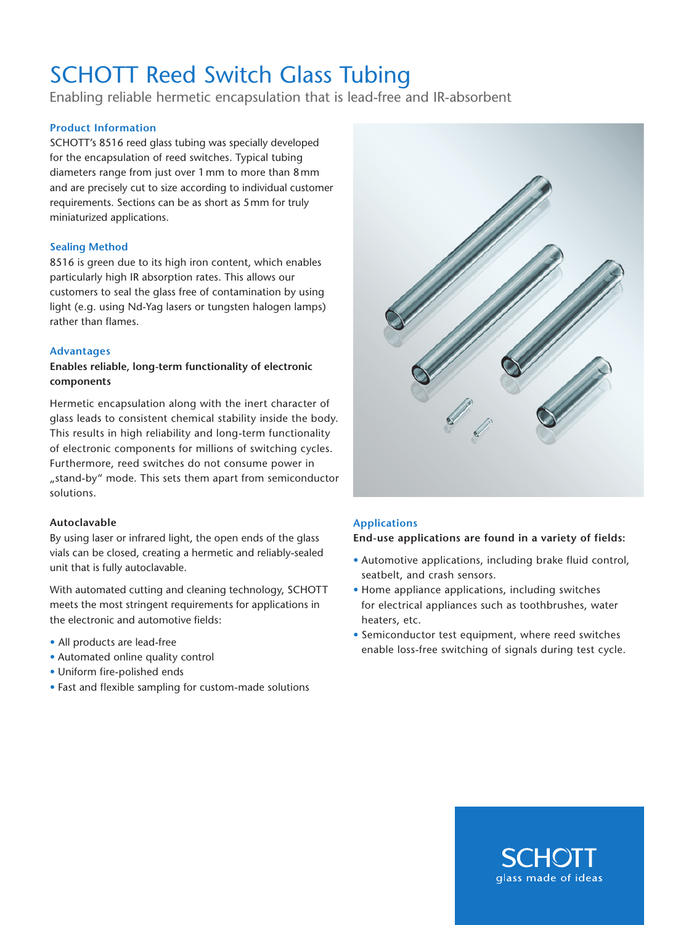## SCHOTT Reed Switch Glass Tubing

Enabling reliable hermetic encapsulation that is lead-free and IR-absorbent

## **Product Information**

SCHOTT's 8516 reed glass tubing was specially developed for the encapsulation of reed switches. Typical tubing diameters range from just over 1mm to more than 8mm and are precisely cut to size according to individual customer requirements. Sections can be as short as 5mm for truly miniaturized applications.

### **Sealing Method**

8516 is green due to its high iron content, which enables particularly high IR absorption rates. This allows our customers to seal the glass free of contamination by using light (e.g. using Nd-Yag lasers or tungsten halogen lamps) rather than flames.

## **Advantages**

### **Enables reliable, long-term functionality of electronic components**

Hermetic encapsulation along with the inert character of glass leads to consistent chemical stability inside the body. This results in high reliability and long-term functionality of electronic components for millions of switching cycles. Furthermore, reed switches do not consume power in "stand-by" mode. This sets them apart from semiconductor solutions.

## **Autoclavable**

By using laser or infrared light, the open ends of the glass vials can be closed, creating a hermetic and reliably-sealed unit that is fully autoclavable.

With automated cutting and cleaning technology, SCHOTT meets the most stringent requirements for applications in the electronic and automotive fields:

- All products are lead-free
- Automated online quality control
- Uniform fire-polished ends
- Fast and flexible sampling for custom-made solutions



## **Applications**

#### **End-use applications are found in a variety of fields:**

- Automotive applications, including brake fluid control, seatbelt, and crash sensors.
- Home appliance applications, including switches for electrical appliances such as toothbrushes, water heaters, etc.
- Semiconductor test equipment, where reed switches enable loss-free switching of signals during test cycle.